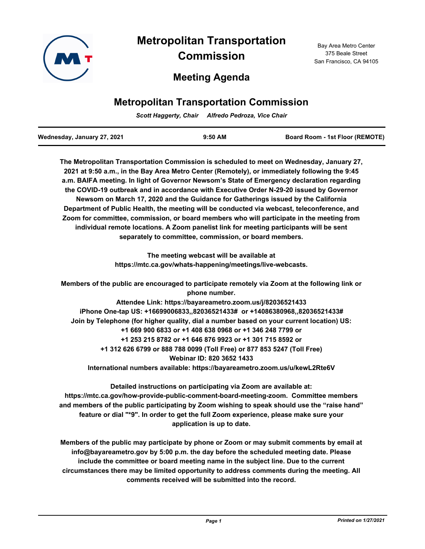

# **Metropolitan Transportation Commission**

## **Meeting Agenda**

## **Metropolitan Transportation Commission**

*Scott Haggerty, Chair Alfredo Pedroza, Vice Chair*

| Wednesday, January 27, 2021 | $9:50$ AM | <b>Board Room - 1st Floor (REMOTE)</b> |
|-----------------------------|-----------|----------------------------------------|
|                             |           |                                        |

**The Metropolitan Transportation Commission is scheduled to meet on Wednesday, January 27, 2021 at 9:50 a.m., in the Bay Area Metro Center (Remotely), or immediately following the 9:45 a.m. BAIFA meeting. In light of Governor Newsom's State of Emergency declaration regarding the COVID-19 outbreak and in accordance with Executive Order N-29-20 issued by Governor Newsom on March 17, 2020 and the Guidance for Gatherings issued by the California Department of Public Health, the meeting will be conducted via webcast, teleconference, and Zoom for committee, commission, or board members who will participate in the meeting from individual remote locations. A Zoom panelist link for meeting participants will be sent separately to committee, commission, or board members.**

> **The meeting webcast will be available at https://mtc.ca.gov/whats-happening/meetings/live-webcasts.**

**Members of the public are encouraged to participate remotely via Zoom at the following link or phone number.**

**Attendee Link: https://bayareametro.zoom.us/j/82036521433 iPhone One-tap US: +16699006833,,82036521433# or +14086380968,,82036521433# Join by Telephone (for higher quality, dial a number based on your current location) US: +1 669 900 6833 or +1 408 638 0968 or +1 346 248 7799 or +1 253 215 8782 or +1 646 876 9923 or +1 301 715 8592 or +1 312 626 6799 or 888 788 0099 (Toll Free) or 877 853 5247 (Toll Free) Webinar ID: 820 3652 1433 International numbers available: https://bayareametro.zoom.us/u/kewL2Rte6V**

**Detailed instructions on participating via Zoom are available at: https://mtc.ca.gov/how-provide-public-comment-board-meeting-zoom. Committee members and members of the public participating by Zoom wishing to speak should use the "raise hand" feature or dial "\*9". In order to get the full Zoom experience, please make sure your application is up to date.**

**Members of the public may participate by phone or Zoom or may submit comments by email at info@bayareametro.gov by 5:00 p.m. the day before the scheduled meeting date. Please include the committee or board meeting name in the subject line. Due to the current circumstances there may be limited opportunity to address comments during the meeting. All comments received will be submitted into the record.**

Bay Area Metro Center 375 Beale Street San Francisco, CA 94105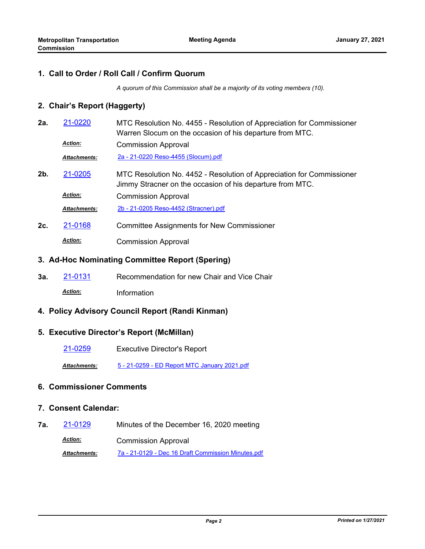#### **1. Call to Order / Roll Call / Confirm Quorum**

*A quorum of this Commission shall be a majority of its voting members (10).*

#### **2. Chair's Report (Haggerty)**

- MTC Resolution No. 4455 Resolution of Appreciation for Commissioner Warren Slocum on the occasion of his departure from MTC. **2a.** [21-0220](http://mtc.legistar.com/gateway.aspx?m=l&id=/matter.aspx?key=21813) Commission Approval *Action: Attachments:* [2a - 21-0220 Reso-4455 \(Slocum\).pdf](http://mtc.legistar.com/gateway.aspx?M=F&ID=ba26e293-8536-48d7-8ad5-08caa43f5610.pdf)
- MTC Resolution No. 4452 Resolution of Appreciation for Commissioner Jimmy Stracner on the occasion of his departure from MTC. **2b.** [21-0205](http://mtc.legistar.com/gateway.aspx?m=l&id=/matter.aspx?key=21798) Commission Approval *Action: Attachments:* [2b - 21-0205 Reso-4452 \(Stracner\).pdf](http://mtc.legistar.com/gateway.aspx?M=F&ID=277fcc6a-0ed9-4ffa-87b0-e9fee395cff4.pdf)
- **2c.** [21-0168](http://mtc.legistar.com/gateway.aspx?m=l&id=/matter.aspx?key=21761) Committee Assignments for New Commissioner Commission Approval *Action:*

#### **3. Ad-Hoc Nominating Committee Report (Spering)**

**3a.** [21-0131](http://mtc.legistar.com/gateway.aspx?m=l&id=/matter.aspx?key=21724) Recommendation for new Chair and Vice Chair *Action:* Information

### **4. Policy Advisory Council Report (Randi Kinman)**

#### **5. Executive Director's Report (McMillan)**

[21-0259](http://mtc.legistar.com/gateway.aspx?m=l&id=/matter.aspx?key=21852) Executive Director's Report

*Attachments:* [5 - 21-0259 - ED Report MTC January 2021.pdf](http://mtc.legistar.com/gateway.aspx?M=F&ID=8c5f33b7-d922-4777-94a9-2fc3ec4830ee.pdf)

#### **6. Commissioner Comments**

#### **7. Consent Calendar:**

**7a.** [21-0129](http://mtc.legistar.com/gateway.aspx?m=l&id=/matter.aspx?key=21722) Minutes of the December 16, 2020 meeting Commission Approval *Action: Attachments:* [7a - 21-0129 - Dec 16 Draft Commission Minutes.pdf](http://mtc.legistar.com/gateway.aspx?M=F&ID=490463bd-de23-491f-a21b-db948894ab3f.pdf)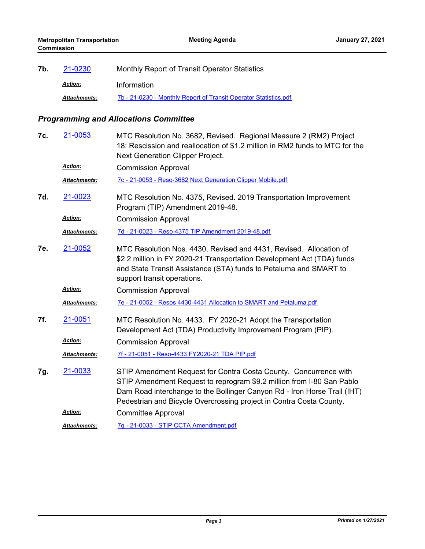| 7b. | 21-0230             | Monthly Report of Transit Operator Statistics                    |
|-----|---------------------|------------------------------------------------------------------|
|     | <b>Action:</b>      | Information                                                      |
|     | <b>Attachments:</b> | 7b - 21-0230 - Monthly Report of Transit Operator Statistics.pdf |

## *Programming and Allocations Committee*

| 7c. | 21-0053             | MTC Resolution No. 3682, Revised. Regional Measure 2 (RM2) Project<br>18: Rescission and reallocation of \$1.2 million in RM2 funds to MTC for the<br>Next Generation Clipper Project.                                                                                                       |
|-----|---------------------|----------------------------------------------------------------------------------------------------------------------------------------------------------------------------------------------------------------------------------------------------------------------------------------------|
|     | <b>Action:</b>      | <b>Commission Approval</b>                                                                                                                                                                                                                                                                   |
|     | Attachments:        | 7c - 21-0053 - Reso-3682 Next Generation Clipper Mobile.pdf                                                                                                                                                                                                                                  |
| 7d. | 21-0023             | MTC Resolution No. 4375, Revised. 2019 Transportation Improvement<br>Program (TIP) Amendment 2019-48.                                                                                                                                                                                        |
|     | <b>Action:</b>      | <b>Commission Approval</b>                                                                                                                                                                                                                                                                   |
|     | <b>Attachments:</b> | 7d - 21-0023 - Reso-4375 TIP Amendment 2019-48.pdf                                                                                                                                                                                                                                           |
| 7e. | 21-0052             | MTC Resolution Nos. 4430, Revised and 4431, Revised. Allocation of<br>\$2.2 million in FY 2020-21 Transportation Development Act (TDA) funds<br>and State Transit Assistance (STA) funds to Petaluma and SMART to<br>support transit operations.                                             |
|     | Action:             | <b>Commission Approval</b>                                                                                                                                                                                                                                                                   |
|     | Attachments:        | 7e - 21-0052 - Resos 4430-4431 Allocation to SMART and Petaluma.pdf                                                                                                                                                                                                                          |
| 7f. | 21-0051             | MTC Resolution No. 4433. FY 2020-21 Adopt the Transportation<br>Development Act (TDA) Productivity Improvement Program (PIP).                                                                                                                                                                |
|     | Action:             | <b>Commission Approval</b>                                                                                                                                                                                                                                                                   |
|     | Attachments:        | 7f - 21-0051 - Reso-4433 FY2020-21 TDA PIP.pdf                                                                                                                                                                                                                                               |
| 7g. | 21-0033             | STIP Amendment Request for Contra Costa County. Concurrence with<br>STIP Amendment Request to reprogram \$9.2 million from I-80 San Pablo<br>Dam Road interchange to the Bollinger Canyon Rd - Iron Horse Trail (IHT)<br>Pedestrian and Bicycle Overcrossing project in Contra Costa County. |
|     | Action:             | <b>Committee Approval</b>                                                                                                                                                                                                                                                                    |
|     | <b>Attachments:</b> | 7g - 21-0033 - STIP CCTA Amendment.pdf                                                                                                                                                                                                                                                       |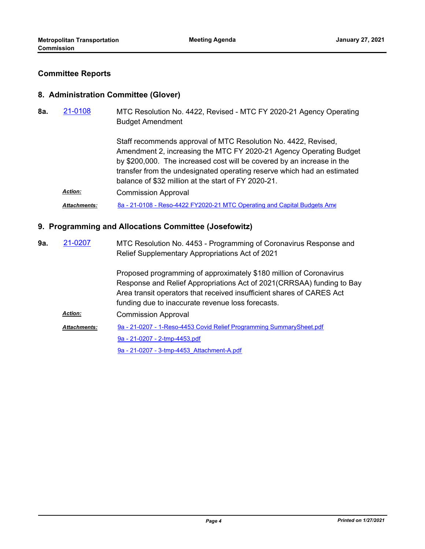#### **Committee Reports**

#### **8. Administration Committee (Glover)**

MTC Resolution No. 4422, Revised - MTC FY 2020-21 Agency Operating Budget Amendment **8a.** [21-0108](http://mtc.legistar.com/gateway.aspx?m=l&id=/matter.aspx?key=21701)

> Staff recommends approval of MTC Resolution No. 4422, Revised, Amendment 2, increasing the MTC FY 2020-21 Agency Operating Budget by \$200,000. The increased cost will be covered by an increase in the transfer from the undesignated operating reserve which had an estimated balance of \$32 million at the start of FY 2020-21.

Commission Approval *Action:* Attachments: [8a - 21-0108 - Reso-4422 FY2020-21 MTC Operating and Capital Budgets Ame](http://mtc.legistar.com/gateway.aspx?M=F&ID=6b1cd600-e766-4c2d-b665-b9af9687bab0.pdf)

#### **9. Programming and Allocations Committee (Josefowitz)**

MTC Resolution No. 4453 - Programming of Coronavirus Response and Relief Supplementary Appropriations Act of 2021 Proposed programming of approximately \$180 million of Coronavirus Response and Relief Appropriations Act of 2021(CRRSAA) funding to Bay Area transit operators that received insufficient shares of CARES Act funding due to inaccurate revenue loss forecasts. **9a.** [21-0207](http://mtc.legistar.com/gateway.aspx?m=l&id=/matter.aspx?key=21800) Commission Approval *Action:* [9a - 21-0207 - 1-Reso-4453 Covid Relief Programming SummarySheet.pdf](http://mtc.legistar.com/gateway.aspx?M=F&ID=3048172c-9a08-4138-80c8-2cc08183cae2.pdf) [9a - 21-0207 - 2-tmp-4453.pdf](http://mtc.legistar.com/gateway.aspx?M=F&ID=353601ba-4397-4804-920f-2a38a4867f1e.pdf) [9a - 21-0207 - 3-tmp-4453\\_Attachment-A.pdf](http://mtc.legistar.com/gateway.aspx?M=F&ID=c296027e-30e4-49a8-8521-112ac0465a89.pdf) *Attachments:*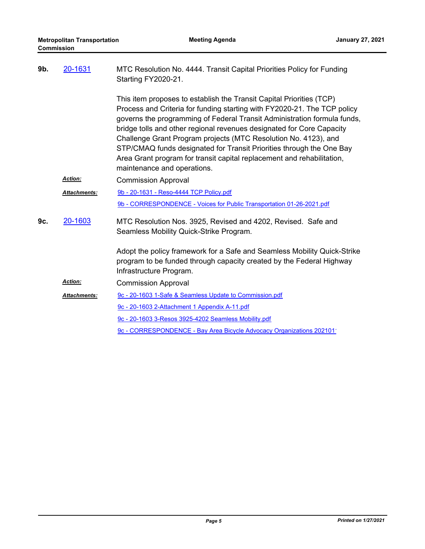| 9b. | 20-1631             | MTC Resolution No. 4444. Transit Capital Priorities Policy for Funding<br>Starting FY2020-21.                                                                                                                                                                                                                                                                                                                                                                                                                                                             |  |
|-----|---------------------|-----------------------------------------------------------------------------------------------------------------------------------------------------------------------------------------------------------------------------------------------------------------------------------------------------------------------------------------------------------------------------------------------------------------------------------------------------------------------------------------------------------------------------------------------------------|--|
|     |                     | This item proposes to establish the Transit Capital Priorities (TCP)<br>Process and Criteria for funding starting with FY2020-21. The TCP policy<br>governs the programming of Federal Transit Administration formula funds,<br>bridge tolls and other regional revenues designated for Core Capacity<br>Challenge Grant Program projects (MTC Resolution No. 4123), and<br>STP/CMAQ funds designated for Transit Priorities through the One Bay<br>Area Grant program for transit capital replacement and rehabilitation,<br>maintenance and operations. |  |
|     | Action:             | <b>Commission Approval</b>                                                                                                                                                                                                                                                                                                                                                                                                                                                                                                                                |  |
|     | Attachments:        | 9b - 20-1631 - Reso-4444 TCP Policy.pdf                                                                                                                                                                                                                                                                                                                                                                                                                                                                                                                   |  |
|     |                     | 9b - CORRESPONDENCE - Voices for Public Transportation 01-26-2021.pdf                                                                                                                                                                                                                                                                                                                                                                                                                                                                                     |  |
| 9c. | 20-1603             | MTC Resolution Nos. 3925, Revised and 4202, Revised. Safe and<br>Seamless Mobility Quick-Strike Program.                                                                                                                                                                                                                                                                                                                                                                                                                                                  |  |
|     |                     | Adopt the policy framework for a Safe and Seamless Mobility Quick-Strike<br>program to be funded through capacity created by the Federal Highway<br>Infrastructure Program.                                                                                                                                                                                                                                                                                                                                                                               |  |
|     | Action:             | <b>Commission Approval</b>                                                                                                                                                                                                                                                                                                                                                                                                                                                                                                                                |  |
|     | <b>Attachments:</b> | 9c - 20-1603 1-Safe & Seamless Update to Commission.pdf                                                                                                                                                                                                                                                                                                                                                                                                                                                                                                   |  |
|     |                     | 9c - 20-1603 2-Attachment 1 Appendix A-11.pdf                                                                                                                                                                                                                                                                                                                                                                                                                                                                                                             |  |
|     |                     | 9c - 20-1603 3-Resos 3925-4202 Seamless Mobility.pdf                                                                                                                                                                                                                                                                                                                                                                                                                                                                                                      |  |
|     |                     | 9c - CORRESPONDENCE - Bay Area Bicycle Advocacy Organizations 202101                                                                                                                                                                                                                                                                                                                                                                                                                                                                                      |  |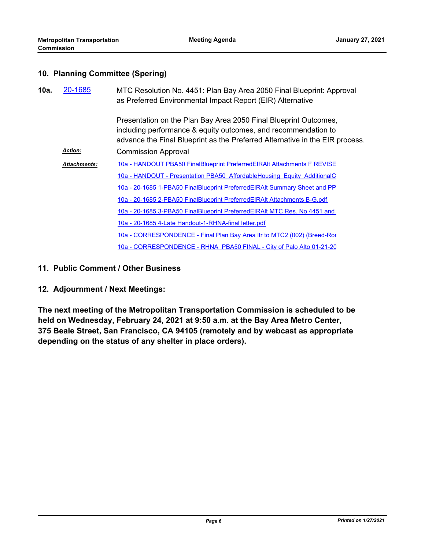### **10. Planning Committee (Spering)**

| 10a. | 20-1685             | MTC Resolution No. 4451: Plan Bay Area 2050 Final Blueprint: Approval<br>as Preferred Environmental Impact Report (EIR) Alternative                                                                                |  |
|------|---------------------|--------------------------------------------------------------------------------------------------------------------------------------------------------------------------------------------------------------------|--|
|      |                     | Presentation on the Plan Bay Area 2050 Final Blueprint Outcomes,<br>including performance & equity outcomes, and recommendation to<br>advance the Final Blueprint as the Preferred Alternative in the EIR process. |  |
|      | <b>Action:</b>      | <b>Commission Approval</b>                                                                                                                                                                                         |  |
|      | <b>Attachments:</b> | 10a - HANDOUT PBA50 FinalBlueprint PreferredEIRAIt Attachments F REVISE                                                                                                                                            |  |
|      |                     | 10a - HANDOUT - Presentation PBA50 AffordableHousing Equity AdditionalC                                                                                                                                            |  |
|      |                     | 10a - 20-1685 1-PBA50 FinalBlueprint PreferredEIRAIt Summary Sheet and PP                                                                                                                                          |  |
|      |                     | 10a - 20-1685 2-PBA50 FinalBlueprint PreferredEIRAIt Attachments B-G.pdf                                                                                                                                           |  |
|      |                     | 10a - 20-1685 3-PBA50 FinalBlueprint PreferredEIRAIt MTC Res. No 4451 and                                                                                                                                          |  |
|      |                     | 10a - 20-1685 4-Late Handout-1-RHNA-final letter.pdf                                                                                                                                                               |  |
|      |                     | 10a - CORRESPONDENCE - Final Plan Bay Area Itr to MTC2 (002) (Breed-Ror                                                                                                                                            |  |
|      |                     | 10a - CORRESPONDENCE - RHNA PBA50 FINAL - City of Palo Alto 01-21-20                                                                                                                                               |  |

- **11. Public Comment / Other Business**
- **12. Adjournment / Next Meetings:**

**The next meeting of the Metropolitan Transportation Commission is scheduled to be held on Wednesday, February 24, 2021 at 9:50 a.m. at the Bay Area Metro Center, 375 Beale Street, San Francisco, CA 94105 (remotely and by webcast as appropriate depending on the status of any shelter in place orders).**